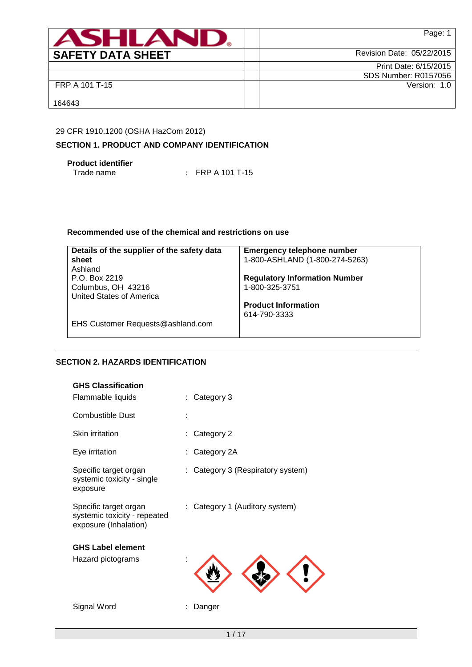| <b>ASHLAR</b>            | Page:                     |
|--------------------------|---------------------------|
| <b>SAFETY DATA SHEET</b> | Revision Date: 05/22/2015 |
|                          | Print Date: 6/15/2015     |
|                          | SDS Number: R0157056      |
| FRP A 101 T-15           | Version: 1.0              |
| 164643                   |                           |

# 29 CFR 1910.1200 (OSHA HazCom 2012)

## **SECTION 1. PRODUCT AND COMPANY IDENTIFICATION**

**Product identifier**

 $\therefore$  FRP A 101 T-15

## **Recommended use of the chemical and restrictions on use**

| Details of the supplier of the safety data | <b>Emergency telephone number</b>    |
|--------------------------------------------|--------------------------------------|
| sheet                                      | 1-800-ASHLAND (1-800-274-5263)       |
| Ashland                                    |                                      |
| P.O. Box 2219                              | <b>Regulatory Information Number</b> |
| Columbus, OH 43216                         | 1-800-325-3751                       |
| United States of America                   |                                      |
|                                            | <b>Product Information</b>           |
|                                            | 614-790-3333                         |
| EHS Customer Requests@ashland.com          |                                      |
|                                            |                                      |

## **SECTION 2. HAZARDS IDENTIFICATION**

| <b>GHS Classification</b>                                                      |                                 |
|--------------------------------------------------------------------------------|---------------------------------|
| Flammable liquids                                                              | Category 3                      |
| <b>Combustible Dust</b>                                                        |                                 |
| Skin irritation                                                                | Category 2                      |
| Eye irritation                                                                 | Category 2A                     |
| Specific target organ<br>systemic toxicity - single<br>exposure                | Category 3 (Respiratory system) |
| Specific target organ<br>systemic toxicity - repeated<br>exposure (Inhalation) | Category 1 (Auditory system)    |
| <b>GHS Label element</b>                                                       |                                 |
| Hazard pictograms                                                              |                                 |
| Signal Word                                                                    | Danger                          |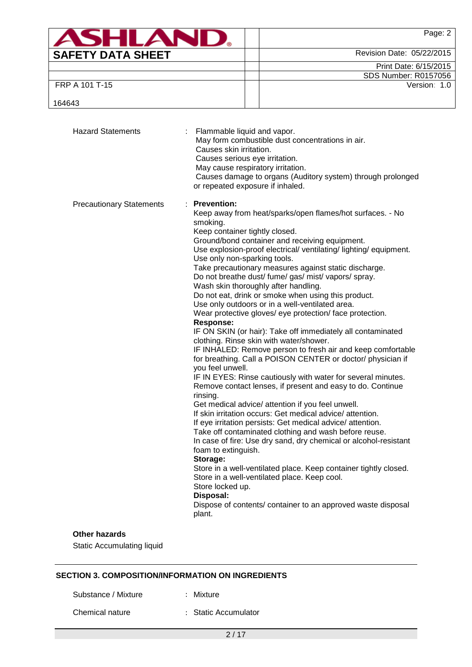| <b>ASHLAN</b>            | Page: 2                     |
|--------------------------|-----------------------------|
| <b>SAFETY DATA SHEET</b> | Revision Date: 05/22/2015   |
|                          | Print Date: 6/15/2015       |
|                          | <b>SDS Number: R0157056</b> |
| FRP A 101 T-15           | Version: 1.0                |
| 164643                   |                             |

| <b>Hazard Statements</b>        | : Flammable liquid and vapor.<br>May form combustible dust concentrations in air.<br>Causes skin irritation.<br>Causes serious eye irritation.<br>May cause respiratory irritation.<br>Causes damage to organs (Auditory system) through prolonged<br>or repeated exposure if inhaled.                                                                                                                                                                                                                                                                                                                                                                                                                                                                                                                                                                                                                                                                                                                                                                                                                                                                                                                                                                                                                                                                                                                                                                                                                                                                                                                                |
|---------------------------------|-----------------------------------------------------------------------------------------------------------------------------------------------------------------------------------------------------------------------------------------------------------------------------------------------------------------------------------------------------------------------------------------------------------------------------------------------------------------------------------------------------------------------------------------------------------------------------------------------------------------------------------------------------------------------------------------------------------------------------------------------------------------------------------------------------------------------------------------------------------------------------------------------------------------------------------------------------------------------------------------------------------------------------------------------------------------------------------------------------------------------------------------------------------------------------------------------------------------------------------------------------------------------------------------------------------------------------------------------------------------------------------------------------------------------------------------------------------------------------------------------------------------------------------------------------------------------------------------------------------------------|
| <b>Precautionary Statements</b> | : Prevention:<br>Keep away from heat/sparks/open flames/hot surfaces. - No<br>smoking.<br>Keep container tightly closed.<br>Ground/bond container and receiving equipment.<br>Use explosion-proof electrical/ ventilating/ lighting/ equipment.<br>Use only non-sparking tools.<br>Take precautionary measures against static discharge.<br>Do not breathe dust/ fume/ gas/ mist/ vapors/ spray.<br>Wash skin thoroughly after handling.<br>Do not eat, drink or smoke when using this product.<br>Use only outdoors or in a well-ventilated area.<br>Wear protective gloves/ eye protection/ face protection.<br><b>Response:</b><br>IF ON SKIN (or hair): Take off immediately all contaminated<br>clothing. Rinse skin with water/shower.<br>IF INHALED: Remove person to fresh air and keep comfortable<br>for breathing. Call a POISON CENTER or doctor/ physician if<br>you feel unwell.<br>IF IN EYES: Rinse cautiously with water for several minutes.<br>Remove contact lenses, if present and easy to do. Continue<br>rinsing.<br>Get medical advice/ attention if you feel unwell.<br>If skin irritation occurs: Get medical advice/attention.<br>If eye irritation persists: Get medical advice/attention.<br>Take off contaminated clothing and wash before reuse.<br>In case of fire: Use dry sand, dry chemical or alcohol-resistant<br>foam to extinguish.<br>Storage:<br>Store in a well-ventilated place. Keep container tightly closed.<br>Store in a well-ventilated place. Keep cool.<br>Store locked up.<br>Disposal:<br>Dispose of contents/ container to an approved waste disposal<br>plant. |
| <b>Other hazards</b>            |                                                                                                                                                                                                                                                                                                                                                                                                                                                                                                                                                                                                                                                                                                                                                                                                                                                                                                                                                                                                                                                                                                                                                                                                                                                                                                                                                                                                                                                                                                                                                                                                                       |

Static Accumulating liquid

# **SECTION 3. COMPOSITION/INFORMATION ON INGREDIENTS**

Substance / Mixture : Mixture

Chemical nature : Static Accumulator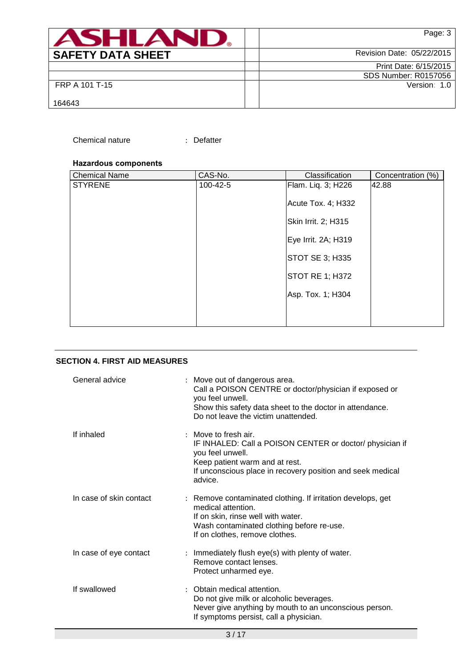| ASHLAN                   | Page: 3                     |
|--------------------------|-----------------------------|
| <b>SAFETY DATA SHEET</b> | Revision Date: 05/22/2015   |
|                          | Print Date: 6/15/2015       |
|                          | <b>SDS Number: R0157056</b> |
| FRP A 101 T-15           | Version: 1.0                |
| 164643                   |                             |

### Chemical nature : Defatter

### **Hazardous components**

| CAS-No.  | Classification | Concentration (%)                                                                                                                                 |
|----------|----------------|---------------------------------------------------------------------------------------------------------------------------------------------------|
| 100-42-5 |                | 42.88                                                                                                                                             |
|          |                |                                                                                                                                                   |
|          |                |                                                                                                                                                   |
|          |                |                                                                                                                                                   |
|          |                |                                                                                                                                                   |
|          |                |                                                                                                                                                   |
|          |                |                                                                                                                                                   |
|          |                |                                                                                                                                                   |
|          |                | Flam. Liq. 3; H226<br>Acute Tox. 4; H332<br>Skin Irrit. 2; H315<br>Eye Irrit. 2A; H319<br>STOT SE 3; H335<br>STOT RE 1; H372<br>Asp. Tox. 1; H304 |

## **SECTION 4. FIRST AID MEASURES**

| General advice          | : Move out of dangerous area.<br>Call a POISON CENTRE or doctor/physician if exposed or<br>you feel unwell.<br>Show this safety data sheet to the doctor in attendance.<br>Do not leave the victim unattended.    |
|-------------------------|-------------------------------------------------------------------------------------------------------------------------------------------------------------------------------------------------------------------|
| If inhaled              | $:$ Move to fresh air.<br>IF INHALED: Call a POISON CENTER or doctor/ physician if<br>you feel unwell.<br>Keep patient warm and at rest.<br>If unconscious place in recovery position and seek medical<br>advice. |
| In case of skin contact | : Remove contaminated clothing. If irritation develops, get<br>medical attention.<br>If on skin, rinse well with water.<br>Wash contaminated clothing before re-use.<br>If on clothes, remove clothes.            |
| In case of eye contact  | : Immediately flush eye(s) with plenty of water.<br>Remove contact lenses.<br>Protect unharmed eye.                                                                                                               |
| If swallowed            | : Obtain medical attention.<br>Do not give milk or alcoholic beverages.<br>Never give anything by mouth to an unconscious person.<br>If symptoms persist, call a physician.                                       |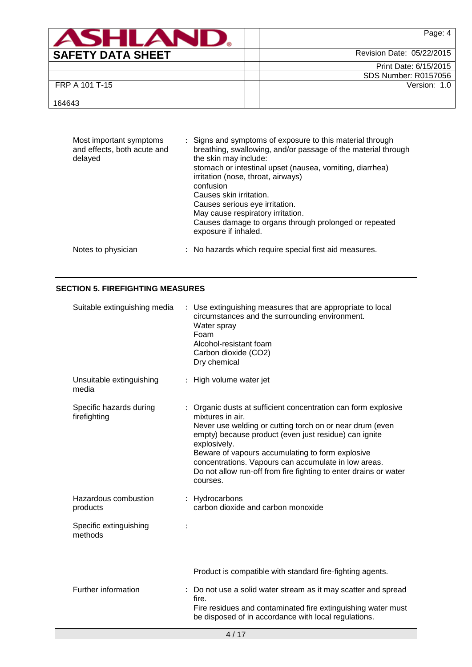| ASHLAN                   | Page: 4                   |
|--------------------------|---------------------------|
| <b>SAFETY DATA SHEET</b> | Revision Date: 05/22/2015 |
|                          | Print Date: 6/15/2015     |
|                          | SDS Number: R0157056      |
| FRP A 101 T-15           | Version: 1.0              |
| 164643                   |                           |

| Most important symptoms<br>and effects, both acute and<br>delayed | : Signs and symptoms of exposure to this material through<br>breathing, swallowing, and/or passage of the material through<br>the skin may include:<br>stomach or intestinal upset (nausea, vomiting, diarrhea)<br>irritation (nose, throat, airways)<br>confusion<br>Causes skin irritation.<br>Causes serious eye irritation.<br>May cause respiratory irritation.<br>Causes damage to organs through prolonged or repeated<br>exposure if inhaled. |
|-------------------------------------------------------------------|-------------------------------------------------------------------------------------------------------------------------------------------------------------------------------------------------------------------------------------------------------------------------------------------------------------------------------------------------------------------------------------------------------------------------------------------------------|
| Notes to physician                                                | : No hazards which require special first aid measures.                                                                                                                                                                                                                                                                                                                                                                                                |

## **SECTION 5. FIREFIGHTING MEASURES**

| Suitable extinguishing media            | : Use extinguishing measures that are appropriate to local<br>circumstances and the surrounding environment.<br>Water spray<br>Foam<br>Alcohol-resistant foam<br>Carbon dioxide (CO2)<br>Dry chemical                                                                                                                                                                                                             |
|-----------------------------------------|-------------------------------------------------------------------------------------------------------------------------------------------------------------------------------------------------------------------------------------------------------------------------------------------------------------------------------------------------------------------------------------------------------------------|
| Unsuitable extinguishing<br>media       | : High volume water jet                                                                                                                                                                                                                                                                                                                                                                                           |
| Specific hazards during<br>firefighting | Organic dusts at sufficient concentration can form explosive<br>mixtures in air.<br>Never use welding or cutting torch on or near drum (even<br>empty) because product (even just residue) can ignite<br>explosively.<br>Beware of vapours accumulating to form explosive<br>concentrations. Vapours can accumulate in low areas.<br>Do not allow run-off from fire fighting to enter drains or water<br>courses. |
| Hazardous combustion<br>products        | : Hydrocarbons<br>carbon dioxide and carbon monoxide                                                                                                                                                                                                                                                                                                                                                              |
| Specific extinguishing<br>methods       |                                                                                                                                                                                                                                                                                                                                                                                                                   |
|                                         | Product is compatible with standard fire-fighting agents.                                                                                                                                                                                                                                                                                                                                                         |
| Further information                     | : Do not use a solid water stream as it may scatter and spread<br>fire.<br>Fire residues and contaminated fire extinguishing water must<br>be disposed of in accordance with local regulations.                                                                                                                                                                                                                   |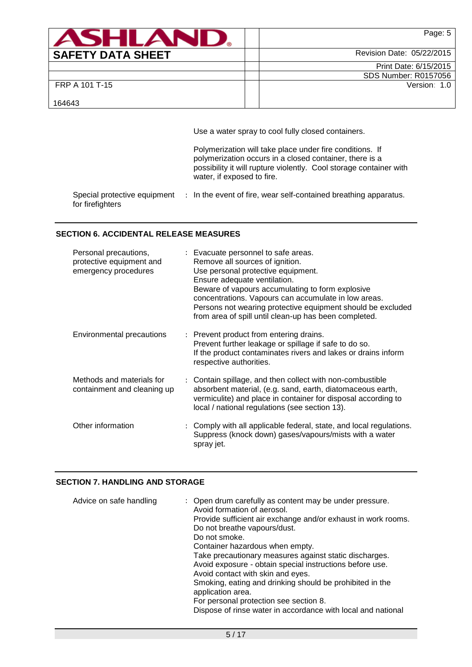| ASHLAN                   | Page: 5                   |
|--------------------------|---------------------------|
| <b>SAFETY DATA SHEET</b> | Revision Date: 05/22/2015 |
|                          | Print Date: 6/15/2015     |
|                          | SDS Number: R0157056      |
| FRP A 101 T-15           | Version: 1.0              |
| 164643                   |                           |

Use a water spray to cool fully closed containers.

Polymerization will take place under fire conditions. If polymerization occurs in a closed container, there is a possibility it will rupture violently. Cool storage container with water, if exposed to fire.

Special protective equipment : In the event of fire, wear self-contained breathing apparatus. for firefighters

### **SECTION 6. ACCIDENTAL RELEASE MEASURES**

| Personal precautions,<br>protective equipment and<br>emergency procedures | : Evacuate personnel to safe areas.<br>Remove all sources of ignition.<br>Use personal protective equipment.<br>Ensure adequate ventilation.<br>Beware of vapours accumulating to form explosive<br>concentrations. Vapours can accumulate in low areas.<br>Persons not wearing protective equipment should be excluded<br>from area of spill until clean-up has been completed. |
|---------------------------------------------------------------------------|----------------------------------------------------------------------------------------------------------------------------------------------------------------------------------------------------------------------------------------------------------------------------------------------------------------------------------------------------------------------------------|
| Environmental precautions                                                 | : Prevent product from entering drains.<br>Prevent further leakage or spillage if safe to do so.<br>If the product contaminates rivers and lakes or drains inform<br>respective authorities.                                                                                                                                                                                     |
| Methods and materials for<br>containment and cleaning up                  | : Contain spillage, and then collect with non-combustible<br>absorbent material, (e.g. sand, earth, diatomaceous earth,<br>vermiculite) and place in container for disposal according to<br>local / national regulations (see section 13).                                                                                                                                       |
| Other information                                                         | : Comply with all applicable federal, state, and local regulations.<br>Suppress (knock down) gases/vapours/mists with a water<br>spray jet.                                                                                                                                                                                                                                      |

## **SECTION 7. HANDLING AND STORAGE**

| Advice on safe handling | : Open drum carefully as content may be under pressure.<br>Avoid formation of aerosol.<br>Provide sufficient air exchange and/or exhaust in work rooms.<br>Do not breathe vapours/dust.<br>Do not smoke.<br>Container hazardous when empty.<br>Take precautionary measures against static discharges.<br>Avoid exposure - obtain special instructions before use.<br>Avoid contact with skin and eyes.<br>Smoking, eating and drinking should be prohibited in the<br>application area.<br>For personal protection see section 8.<br>Dispose of rinse water in accordance with local and national |
|-------------------------|---------------------------------------------------------------------------------------------------------------------------------------------------------------------------------------------------------------------------------------------------------------------------------------------------------------------------------------------------------------------------------------------------------------------------------------------------------------------------------------------------------------------------------------------------------------------------------------------------|
|-------------------------|---------------------------------------------------------------------------------------------------------------------------------------------------------------------------------------------------------------------------------------------------------------------------------------------------------------------------------------------------------------------------------------------------------------------------------------------------------------------------------------------------------------------------------------------------------------------------------------------------|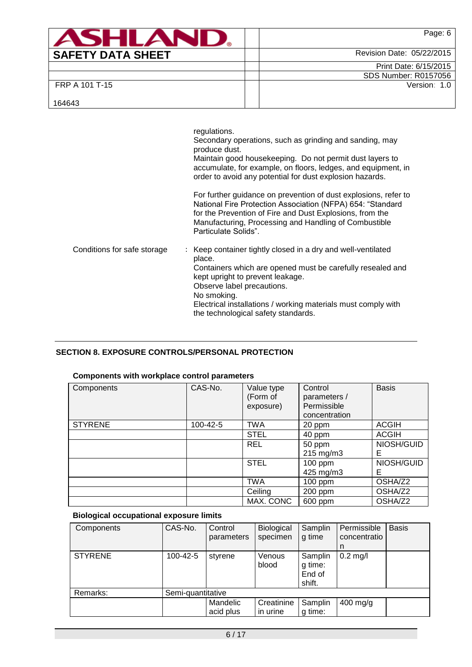| <b>SHIA</b>              |                           | Page: 6                     |
|--------------------------|---------------------------|-----------------------------|
| <b>SAFETY DATA SHEET</b> | Revision Date: 05/22/2015 |                             |
|                          |                           | Print Date: 6/15/2015       |
|                          |                           | <b>SDS Number: R0157056</b> |
| FRP A 101 T-15           |                           | Version: 1.0                |
| 164643                   |                           |                             |

|                             | regulations.<br>Secondary operations, such as grinding and sanding, may<br>produce dust.<br>Maintain good housekeeping. Do not permit dust layers to<br>accumulate, for example, on floors, ledges, and equipment, in<br>order to avoid any potential for dust explosion hazards.                                           |
|-----------------------------|-----------------------------------------------------------------------------------------------------------------------------------------------------------------------------------------------------------------------------------------------------------------------------------------------------------------------------|
|                             | For further guidance on prevention of dust explosions, refer to<br>National Fire Protection Association (NFPA) 654: "Standard<br>for the Prevention of Fire and Dust Explosions, from the<br>Manufacturing, Processing and Handling of Combustible<br>Particulate Solids".                                                  |
| Conditions for safe storage | Keep container tightly closed in a dry and well-ventilated<br>place.<br>Containers which are opened must be carefully resealed and<br>kept upright to prevent leakage.<br>Observe label precautions.<br>No smoking.<br>Electrical installations / working materials must comply with<br>the technological safety standards. |

# **SECTION 8. EXPOSURE CONTROLS/PERSONAL PROTECTION**

# **Components with workplace control parameters**

| Components     | CAS-No.  | Value type<br>(Form of<br>exposure) | Control<br>parameters /<br>Permissible<br>concentration | <b>Basis</b> |
|----------------|----------|-------------------------------------|---------------------------------------------------------|--------------|
| <b>STYRENE</b> | 100-42-5 | <b>TWA</b>                          | 20 ppm                                                  | <b>ACGIH</b> |
|                |          | <b>STEL</b>                         | 40 ppm                                                  | <b>ACGIH</b> |
|                |          | <b>REL</b>                          | 50 ppm                                                  | NIOSH/GUID   |
|                |          |                                     | $215 \text{ mg/m}$ 3                                    | Е            |
|                |          | <b>STEL</b>                         | $100$ ppm                                               | NIOSH/GUID   |
|                |          |                                     | 425 mg/m3                                               | Е            |
|                |          | <b>TWA</b>                          | $100$ ppm                                               | OSHA/Z2      |
|                |          | Ceiling                             | 200 ppm                                                 | OSHA/Z2      |
|                |          | MAX. CONC                           | 600 ppm                                                 | OSHA/Z2      |

# **Biological occupational exposure limits**

| Components     | CAS-No.           | Control<br>parameters | Biological<br>specimen | Samplin<br>g time                      | Permissible<br>concentratio<br>n | <b>Basis</b> |
|----------------|-------------------|-----------------------|------------------------|----------------------------------------|----------------------------------|--------------|
| <b>STYRENE</b> | 100-42-5          | styrene               | Venous<br>blood        | Samplin<br>g time:<br>End of<br>shift. | $0.2$ mg/l                       |              |
| Remarks:       | Semi-quantitative |                       |                        |                                        |                                  |              |
|                |                   | Mandelic<br>acid plus | Creatinine<br>in urine | Samplin<br>g time:                     | $400$ mg/g                       |              |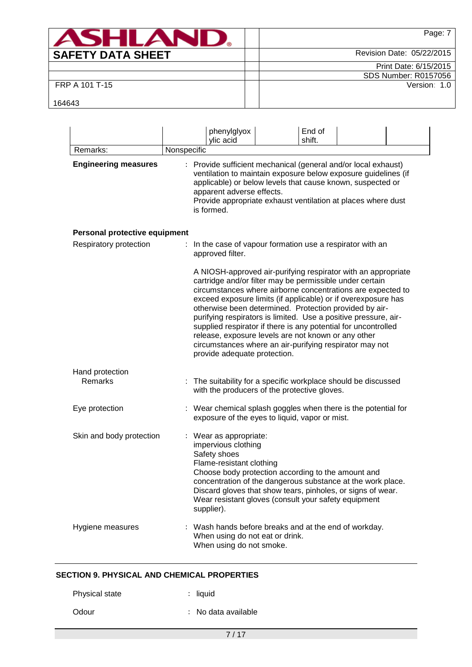| <b>ASHLAN</b>            | Page: 7                     |
|--------------------------|-----------------------------|
| <b>SAFETY DATA SHEET</b> | Revision Date: 05/22/2015   |
|                          | Print Date: 6/15/2015       |
|                          | <b>SDS Number: R0157056</b> |
| FRP A 101 T-15           | Version: 1.0                |
| 164643                   |                             |

|                               | End of<br>phenylglyox<br>ylic acid<br>shift.                                                                                                                                                                                                                                                                                                                                                                                                                                                                                                                                                               |
|-------------------------------|------------------------------------------------------------------------------------------------------------------------------------------------------------------------------------------------------------------------------------------------------------------------------------------------------------------------------------------------------------------------------------------------------------------------------------------------------------------------------------------------------------------------------------------------------------------------------------------------------------|
| Remarks:                      | Nonspecific                                                                                                                                                                                                                                                                                                                                                                                                                                                                                                                                                                                                |
| <b>Engineering measures</b>   | : Provide sufficient mechanical (general and/or local exhaust)<br>ventilation to maintain exposure below exposure guidelines (if<br>applicable) or below levels that cause known, suspected or<br>apparent adverse effects.<br>Provide appropriate exhaust ventilation at places where dust<br>is formed.                                                                                                                                                                                                                                                                                                  |
| Personal protective equipment |                                                                                                                                                                                                                                                                                                                                                                                                                                                                                                                                                                                                            |
| Respiratory protection        | In the case of vapour formation use a respirator with an<br>approved filter.                                                                                                                                                                                                                                                                                                                                                                                                                                                                                                                               |
|                               | A NIOSH-approved air-purifying respirator with an appropriate<br>cartridge and/or filter may be permissible under certain<br>circumstances where airborne concentrations are expected to<br>exceed exposure limits (if applicable) or if overexposure has<br>otherwise been determined. Protection provided by air-<br>purifying respirators is limited. Use a positive pressure, air-<br>supplied respirator if there is any potential for uncontrolled<br>release, exposure levels are not known or any other<br>circumstances where an air-purifying respirator may not<br>provide adequate protection. |
| Hand protection<br>Remarks    | The suitability for a specific workplace should be discussed<br>with the producers of the protective gloves.                                                                                                                                                                                                                                                                                                                                                                                                                                                                                               |
| Eye protection                | : Wear chemical splash goggles when there is the potential for<br>exposure of the eyes to liquid, vapor or mist.                                                                                                                                                                                                                                                                                                                                                                                                                                                                                           |
| Skin and body protection      | : Wear as appropriate:<br>impervious clothing<br>Safety shoes<br>Flame-resistant clothing<br>Choose body protection according to the amount and<br>concentration of the dangerous substance at the work place.<br>Discard gloves that show tears, pinholes, or signs of wear.<br>Wear resistant gloves (consult your safety equipment<br>supplier).                                                                                                                                                                                                                                                        |
| Hygiene measures              | Wash hands before breaks and at the end of workday.<br>When using do not eat or drink.<br>When using do not smoke.                                                                                                                                                                                                                                                                                                                                                                                                                                                                                         |

## **SECTION 9. PHYSICAL AND CHEMICAL PROPERTIES**

| Physical state | $:$ liquid          |
|----------------|---------------------|
| Odour          | : No data available |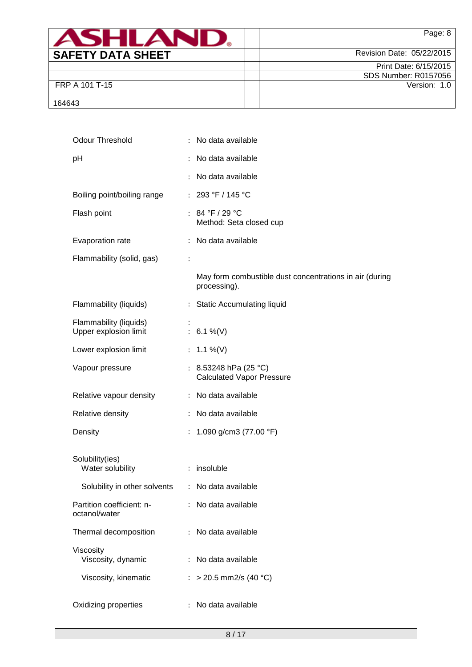| <b>ASHLAN</b>            | Page: 8                   |
|--------------------------|---------------------------|
| <b>SAFETY DATA SHEET</b> | Revision Date: 05/22/2015 |
|                          | Print Date: 6/15/2015     |
|                          | SDS Number: R0157056      |
| FRP A 101 T-15           | Version: 1.0              |
| 164643                   |                           |

| <b>Odour Threshold</b>                           | : No data available                                                     |
|--------------------------------------------------|-------------------------------------------------------------------------|
| рH                                               | No data available<br>$\ddot{\cdot}$                                     |
|                                                  | No data available                                                       |
| Boiling point/boiling range                      | : $293 °F / 145 °C$                                                     |
| Flash point                                      | : $84 °F / 29 °C$<br>Method: Seta closed cup                            |
| Evaporation rate                                 | : No data available                                                     |
| Flammability (solid, gas)                        | $\ddot{\cdot}$                                                          |
|                                                  | May form combustible dust concentrations in air (during<br>processing). |
| Flammability (liquids)                           | : Static Accumulating liquid                                            |
| Flammability (liquids)<br>Upper explosion limit  | : $6.1\%$ (V)                                                           |
| Lower explosion limit                            | : $1.1\%$ (V)                                                           |
| Vapour pressure                                  | : 8.53248 hPa (25 °C)<br><b>Calculated Vapor Pressure</b>               |
| Relative vapour density                          | : No data available                                                     |
| Relative density                                 | : No data available                                                     |
| Density                                          | : 1.090 g/cm3 (77.00 °F)                                                |
| Solubility(ies)<br>Water solubility              | : insoluble                                                             |
| Solubility in other solvents : No data available |                                                                         |
| Partition coefficient: n-<br>octanol/water       | : No data available                                                     |
| Thermal decomposition                            | No data available<br>$\ddot{\phantom{0}}$                               |
| Viscosity<br>Viscosity, dynamic                  | : No data available                                                     |
| Viscosity, kinematic                             | : > 20.5 mm2/s (40 °C)                                                  |
| Oxidizing properties                             | No data available<br>$\ddot{\cdot}$                                     |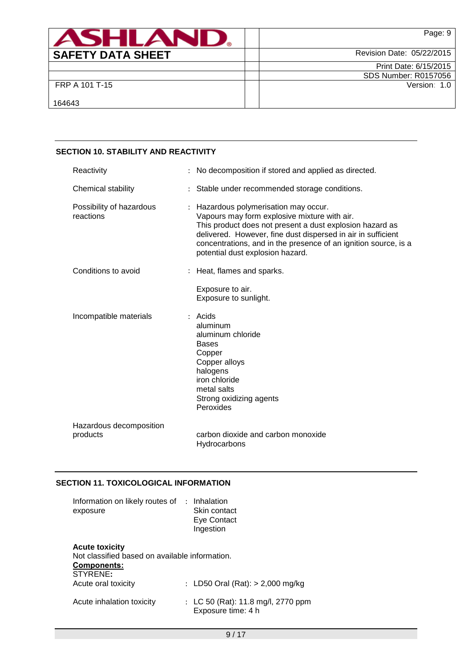| <b>ASHLAN</b>            | Page: 9                   |
|--------------------------|---------------------------|
| <b>SAFETY DATA SHEET</b> | Revision Date: 05/22/2015 |
|                          | Print Date: 6/15/2015     |
|                          | SDS Number: R0157056      |
| FRP A 101 T-15           | Version: 1.0              |
| 164643                   |                           |

# **SECTION 10. STABILITY AND REACTIVITY**

| Reactivity                            | No decomposition if stored and applied as directed.                                                                                                                                                                                                                                                                    |
|---------------------------------------|------------------------------------------------------------------------------------------------------------------------------------------------------------------------------------------------------------------------------------------------------------------------------------------------------------------------|
| Chemical stability                    | : Stable under recommended storage conditions.                                                                                                                                                                                                                                                                         |
| Possibility of hazardous<br>reactions | Hazardous polymerisation may occur.<br>Vapours may form explosive mixture with air.<br>This product does not present a dust explosion hazard as<br>delivered. However, fine dust dispersed in air in sufficient<br>concentrations, and in the presence of an ignition source, is a<br>potential dust explosion hazard. |
| Conditions to avoid                   | Heat, flames and sparks.                                                                                                                                                                                                                                                                                               |
|                                       | Exposure to air.<br>Exposure to sunlight.                                                                                                                                                                                                                                                                              |
| Incompatible materials                | $:$ Acids<br>aluminum<br>aluminum chloride<br><b>Bases</b><br>Copper<br>Copper alloys<br>halogens<br>iron chloride<br>metal salts<br>Strong oxidizing agents<br>Peroxides                                                                                                                                              |
| Hazardous decomposition<br>products   | carbon dioxide and carbon monoxide<br>Hydrocarbons                                                                                                                                                                                                                                                                     |

## **SECTION 11. TOXICOLOGICAL INFORMATION**

| Information on likely routes of<br>exposure                                                               | : Inhalation<br>Skin contact<br>Eye Contact<br>Ingestion |
|-----------------------------------------------------------------------------------------------------------|----------------------------------------------------------|
| <b>Acute toxicity</b><br>Not classified based on available information.<br><b>Components:</b><br>STYRENE: |                                                          |
| Acute oral toxicity                                                                                       | : LD50 Oral (Rat): $> 2,000$ mg/kg                       |
| Acute inhalation toxicity                                                                                 | : LC 50 (Rat): 11.8 mg/l, 2770 ppm<br>Exposure time: 4 h |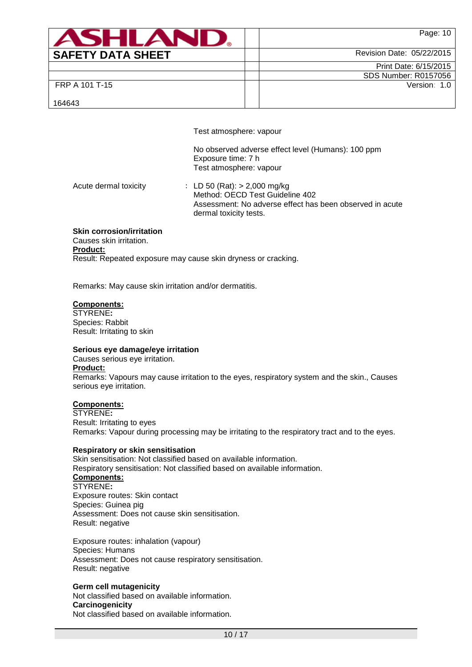| <b>ASHLAM</b>            | Page: 10                    |
|--------------------------|-----------------------------|
| <b>SAFETY DATA SHEET</b> | Revision Date: 05/22/2015   |
|                          | Print Date: 6/15/2015       |
|                          | <b>SDS Number: R0157056</b> |
| FRP A 101 T-15           | Version: 1.0                |
| 164643                   |                             |

Test atmosphere: vapour

No observed adverse effect level (Humans): 100 ppm Exposure time: 7 h Test atmosphere: vapour

Acute dermal toxicity : LD 50 (Rat): > 2,000 mg/kg Method: OECD Test Guideline 402 Assessment: No adverse effect has been observed in acute dermal toxicity tests.

#### **Skin corrosion/irritation**

Causes skin irritation. **Product:** Result: Repeated exposure may cause skin dryness or cracking.

Remarks: May cause skin irritation and/or dermatitis.

#### **Components:**

STYRENE**:** Species: Rabbit Result: Irritating to skin

#### **Serious eye damage/eye irritation**

Causes serious eye irritation. **Product:** Remarks: Vapours may cause irritation to the eyes, respiratory system and the skin., Causes serious eye irritation.

### **Components:**

STYRENE**:** Result: Irritating to eyes Remarks: Vapour during processing may be irritating to the respiratory tract and to the eyes.

#### **Respiratory or skin sensitisation**

Skin sensitisation: Not classified based on available information. Respiratory sensitisation: Not classified based on available information. **Components:** STYRENE**:** Exposure routes: Skin contact Species: Guinea pig Assessment: Does not cause skin sensitisation. Result: negative

Exposure routes: inhalation (vapour) Species: Humans Assessment: Does not cause respiratory sensitisation. Result: negative

#### **Germ cell mutagenicity**

Not classified based on available information. **Carcinogenicity** Not classified based on available information.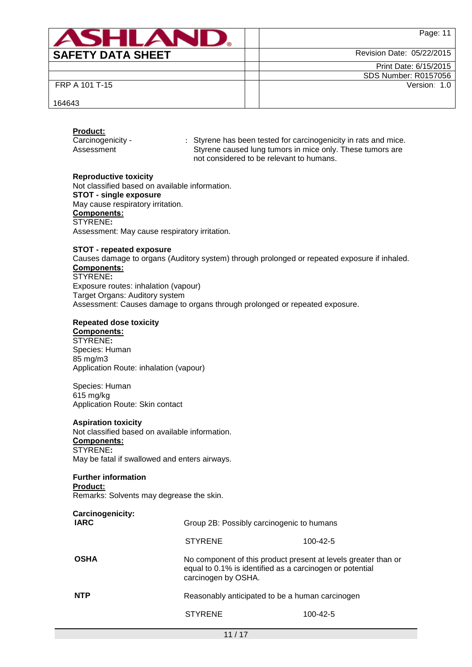| <b>ASHI A</b>            | Page: 11                    |
|--------------------------|-----------------------------|
| <b>SAFETY DATA SHEET</b> | Revision Date: 05/22/2015   |
|                          | Print Date: 6/15/2015       |
|                          | <b>SDS Number: R0157056</b> |
| FRP A 101 T-15           | Version: 1.0                |
| 164643                   |                             |

#### **Product:**

Carcinogenicity - Assessment

: Styrene has been tested for carcinogenicity in rats and mice. Styrene caused lung tumors in mice only. These tumors are not considered to be relevant to humans.

#### **Reproductive toxicity**

Not classified based on available information. **STOT - single exposure** May cause respiratory irritation. **Components:** STYRENE**:** Assessment: May cause respiratory irritation.

#### **STOT - repeated exposure**

Causes damage to organs (Auditory system) through prolonged or repeated exposure if inhaled. **Components:** STYRENE**:**

Exposure routes: inhalation (vapour) Target Organs: Auditory system Assessment: Causes damage to organs through prolonged or repeated exposure.

### **Repeated dose toxicity**

## **Components:**

STYRENE**:** Species: Human 85 mg/m3 Application Route: inhalation (vapour)

Species: Human 615 mg/kg Application Route: Skin contact

### **Aspiration toxicity**

Not classified based on available information. **Components:** STYRENE**:** May be fatal if swallowed and enters airways.

## **Further information**

# **Product:**

Remarks: Solvents may degrease the skin.

| Carcinogenicity:<br><b>IARC</b> | Group 2B: Possibly carcinogenic to humans                                                                                                         |                |  |  |
|---------------------------------|---------------------------------------------------------------------------------------------------------------------------------------------------|----------------|--|--|
|                                 | <b>STYRENE</b>                                                                                                                                    | $100 - 42 - 5$ |  |  |
| <b>OSHA</b>                     | No component of this product present at levels greater than or<br>equal to 0.1% is identified as a carcinogen or potential<br>carcinogen by OSHA. |                |  |  |
| <b>NTP</b>                      | Reasonably anticipated to be a human carcinogen                                                                                                   |                |  |  |
|                                 | <b>STYRENE</b>                                                                                                                                    | 100-42-5       |  |  |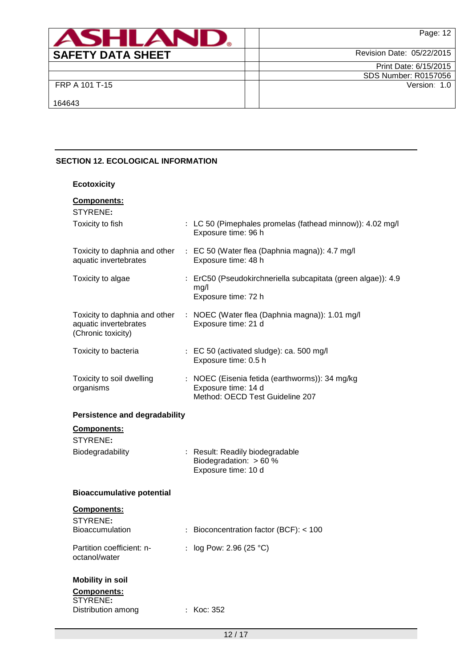| <b>ASHLAM</b>            | Page: 12                  |
|--------------------------|---------------------------|
| <b>SAFETY DATA SHEET</b> | Revision Date: 05/22/2015 |
|                          | Print Date: 6/15/2015     |
|                          | SDS Number: R0157056      |
| FRP A 101 T-15           | Version: 1.0              |
| 164643                   |                           |

# **SECTION 12. ECOLOGICAL INFORMATION**

| <b>Ecotoxicity</b>                                                           |                                                                                                          |
|------------------------------------------------------------------------------|----------------------------------------------------------------------------------------------------------|
| <b>Components:</b><br>STYRENE:                                               |                                                                                                          |
| Toxicity to fish                                                             | : LC 50 (Pimephales promelas (fathead minnow)): 4.02 mg/l<br>Exposure time: 96 h                         |
| Toxicity to daphnia and other<br>aquatic invertebrates                       | : EC 50 (Water flea (Daphnia magna)): 4.7 mg/l<br>Exposure time: 48 h                                    |
| Toxicity to algae                                                            | : ErC50 (Pseudokirchneriella subcapitata (green algae)): 4.9<br>mg/l<br>Exposure time: 72 h              |
| Toxicity to daphnia and other<br>aquatic invertebrates<br>(Chronic toxicity) | : NOEC (Water flea (Daphnia magna)): 1.01 mg/l<br>Exposure time: 21 d                                    |
| Toxicity to bacteria                                                         | : EC 50 (activated sludge): ca. 500 mg/l<br>Exposure time: 0.5 h                                         |
| Toxicity to soil dwelling<br>organisms                                       | : NOEC (Eisenia fetida (earthworms)): 34 mg/kg<br>Exposure time: 14 d<br>Method: OECD Test Guideline 207 |
| <b>Persistence and degradability</b>                                         |                                                                                                          |
| <b>Components:</b>                                                           |                                                                                                          |
| STYRENE:<br>Biodegradability                                                 | : Result: Readily biodegradable<br>Biodegradation: $> 60 %$<br>Exposure time: 10 d                       |
| <b>Bioaccumulative potential</b>                                             |                                                                                                          |
| <b>Components:</b><br>STYRENE:<br><b>Bioaccumulation</b>                     | : Bioconcentration factor (BCF): $<$ 100                                                                 |
| Partition coefficient: n-<br>octanol/water                                   | : $log Pow: 2.96 (25 °C)$                                                                                |
| <b>Mobility in soil</b>                                                      |                                                                                                          |
| Components:<br>STYRENE:<br>Distribution among                                | : Koc: 352                                                                                               |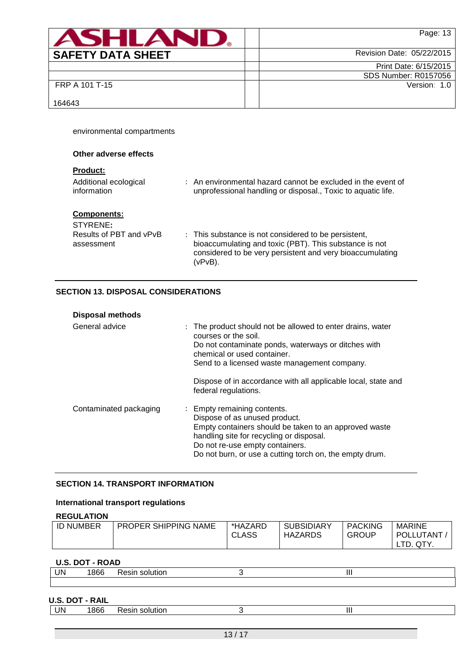| ASHLAN                   | Page: 13                  |
|--------------------------|---------------------------|
| <b>SAFETY DATA SHEET</b> | Revision Date: 05/22/2015 |
|                          | Print Date: 6/15/2015     |
|                          | SDS Number: R0157056      |
| FRP A 101 T-15           | Version: 1.0              |
| 164643                   |                           |

environmental compartments

| Other adverse effects                                                   |                                                                                                                                                                                        |
|-------------------------------------------------------------------------|----------------------------------------------------------------------------------------------------------------------------------------------------------------------------------------|
| <b>Product:</b><br>Additional ecological<br>information                 | : An environmental hazard cannot be excluded in the event of<br>unprofessional handling or disposal., Toxic to aquatic life.                                                           |
| <b>Components:</b><br>STYRENE:<br>Results of PBT and vPvB<br>assessment | : This substance is not considered to be persistent,<br>bioaccumulating and toxic (PBT). This substance is not<br>considered to be very persistent and very bioaccumulating<br>(vPvB). |

### **SECTION 13. DISPOSAL CONSIDERATIONS**

| <b>Disposal methods</b> |                                                                                                                                                                                                                                                                                                                   |
|-------------------------|-------------------------------------------------------------------------------------------------------------------------------------------------------------------------------------------------------------------------------------------------------------------------------------------------------------------|
| General advice          | : The product should not be allowed to enter drains, water<br>courses or the soil.<br>Do not contaminate ponds, waterways or ditches with<br>chemical or used container.<br>Send to a licensed waste management company.<br>Dispose of in accordance with all applicable local, state and<br>federal regulations. |
| Contaminated packaging  | : Empty remaining contents.<br>Dispose of as unused product.<br>Empty containers should be taken to an approved waste<br>handling site for recycling or disposal.<br>Do not re-use empty containers.<br>Do not burn, or use a cutting torch on, the empty drum.                                                   |

# **SECTION 14. TRANSPORT INFORMATION**

## **International transport regulations**

## **REGULATION**

| .                |                             |              |                   |                |               |
|------------------|-----------------------------|--------------|-------------------|----------------|---------------|
| <b>ID NUMBER</b> | <b>PROPER SHIPPING NAME</b> | *HAZARD      | <b>SUBSIDIARY</b> | <b>PACKING</b> | <b>MARINE</b> |
|                  |                             | <b>CLASS</b> | <b>HAZARDS</b>    | <b>GROUP</b>   | POLLUTANT     |
|                  |                             |              |                   |                | QTY.          |

### **U.S. DOT - ROAD**

| UN | 866 | SIF<br>v.<br>பப | . |  |
|----|-----|-----------------|---|--|
|    |     |                 |   |  |

### **U.S. DOT - RAIL**

| UN | 1866 | <br>Resin solution |  |  |
|----|------|--------------------|--|--|
|    |      |                    |  |  |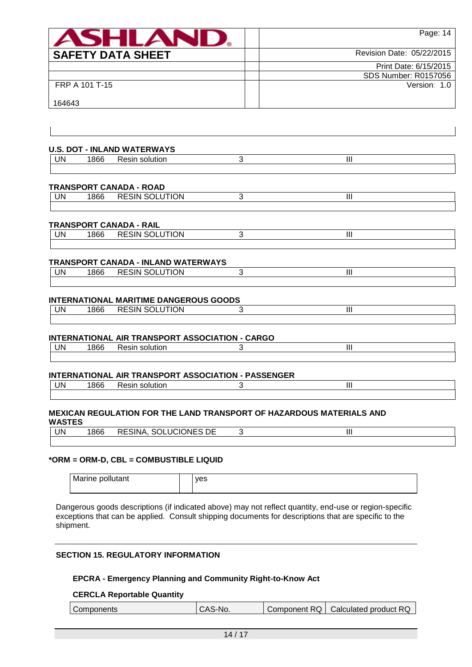| ANHI AI                  | Page: 14                  |
|--------------------------|---------------------------|
| <b>SAFETY DATA SHEET</b> | Revision Date: 05/22/2015 |
|                          | Print Date: 6/15/2015     |
|                          | SDS Number: R0157056      |
| FRP A 101 T-15           | Version: 1.0              |
| 164643                   |                           |

Π

| <b>UN</b> | 1866 | Resin solution                                | 3 | III            |  |
|-----------|------|-----------------------------------------------|---|----------------|--|
|           |      | TRANSPORT CANADA - ROAD                       |   |                |  |
| UN        | 1866 | <b>RESIN SOLUTION</b>                         | 3 | Ш              |  |
|           |      | TRANSPORT CANADA - RAIL                       |   |                |  |
| UN        | 1866 | <b>RESIN SOLUTION</b>                         | 3 | III            |  |
|           |      | <b>TRANSPORT CANADA - INLAND WATERWAYS</b>    |   |                |  |
| UN        | 1866 | <b>RESIN SOLUTION</b>                         | 3 | $\mathbf{III}$ |  |
|           |      | <b>INTERNATIONAL MARITIME DANGEROUS GOODS</b> |   |                |  |
| UN        | 1866 | <b>RESIN SOLUTION</b>                         | 3 | Ш              |  |

#### **INTERNATIONAL AIR TRANSPORT ASSOCIATION - PASSENGER**

| JN<br>. . | ، ص<br>ooc | solution<br>n.<br>nusan. | $\mathbf{  }$ |  |
|-----------|------------|--------------------------|---------------|--|
|           |            |                          |               |  |

#### **MEXICAN REGULATION FOR THE LAND TRANSPORT OF HAZARDOUS MATERIALS AND WASTES**

UN 1866 Resin solution 3 3

| UN | 1866 | SOLUCIONES DE<br>RESINA, |  |
|----|------|--------------------------|--|
|    |      |                          |  |

#### **\*ORM = ORM-D, CBL = COMBUSTIBLE LIQUID**

 $\overline{\phantom{a}}$ 

Marine pollutant and plans

Dangerous goods descriptions (if indicated above) may not reflect quantity, end-use or region-specific exceptions that can be applied. Consult shipping documents for descriptions that are specific to the shipment.

### **SECTION 15. REGULATORY INFORMATION**

### **EPCRA - Emergency Planning and Community Right-to-Know Act**

#### **CERCLA Reportable Quantity**

| Component RQ   Calculated product RQ<br>CAS-No.<br>Components |  |  |  |  |
|---------------------------------------------------------------|--|--|--|--|
|---------------------------------------------------------------|--|--|--|--|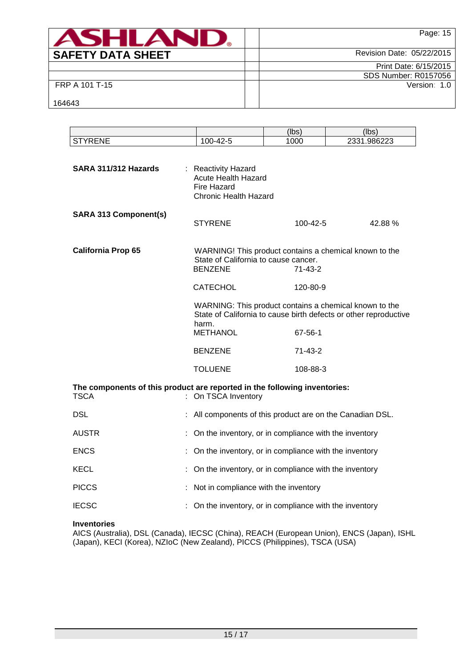| <b>ASHLAND.</b>          | Page: 15                  |
|--------------------------|---------------------------|
| <b>SAFETY DATA SHEET</b> | Revision Date: 05/22/2015 |
|                          | Print Date: 6/15/2015     |
|                          | SDS Number: R0157056      |
| FRP A 101 T-15           | Version: 1.0              |
| 164643                   |                           |

|                                                                                          |                                                                                                  | (lbs)     | (lbs)                                                                                                                      |  |
|------------------------------------------------------------------------------------------|--------------------------------------------------------------------------------------------------|-----------|----------------------------------------------------------------------------------------------------------------------------|--|
| <b>STYRENE</b>                                                                           | 100-42-5                                                                                         | 1000      | 2331.986223                                                                                                                |  |
| SARA 311/312 Hazards                                                                     | : Reactivity Hazard<br><b>Acute Health Hazard</b><br><b>Fire Hazard</b><br>Chronic Health Hazard |           |                                                                                                                            |  |
| <b>SARA 313 Component(s)</b>                                                             | <b>STYRENE</b>                                                                                   | 100-42-5  | 42.88%                                                                                                                     |  |
| <b>California Prop 65</b>                                                                | State of California to cause cancer.<br><b>BENZENE</b>                                           | 71-43-2   | WARNING! This product contains a chemical known to the                                                                     |  |
|                                                                                          | <b>CATECHOL</b>                                                                                  | 120-80-9  |                                                                                                                            |  |
|                                                                                          | harm.<br><b>METHANOL</b>                                                                         | 67-56-1   | WARNING: This product contains a chemical known to the<br>State of California to cause birth defects or other reproductive |  |
|                                                                                          |                                                                                                  |           |                                                                                                                            |  |
|                                                                                          | <b>BENZENE</b>                                                                                   | $71-43-2$ |                                                                                                                            |  |
|                                                                                          | <b>TOLUENE</b>                                                                                   | 108-88-3  |                                                                                                                            |  |
| The components of this product are reported in the following inventories:<br><b>TSCA</b> | : On TSCA Inventory                                                                              |           |                                                                                                                            |  |
| DSL                                                                                      | : All components of this product are on the Canadian DSL.                                        |           |                                                                                                                            |  |
| <b>AUSTR</b>                                                                             | : On the inventory, or in compliance with the inventory                                          |           |                                                                                                                            |  |
| <b>ENCS</b>                                                                              | On the inventory, or in compliance with the inventory                                            |           |                                                                                                                            |  |
| KECL                                                                                     | On the inventory, or in compliance with the inventory                                            |           |                                                                                                                            |  |
| <b>PICCS</b>                                                                             | Not in compliance with the inventory                                                             |           |                                                                                                                            |  |
| <b>IECSC</b>                                                                             | On the inventory, or in compliance with the inventory                                            |           |                                                                                                                            |  |

## **Inventories**

AICS (Australia), DSL (Canada), IECSC (China), REACH (European Union), ENCS (Japan), ISHL (Japan), KECI (Korea), NZIoC (New Zealand), PICCS (Philippines), TSCA (USA)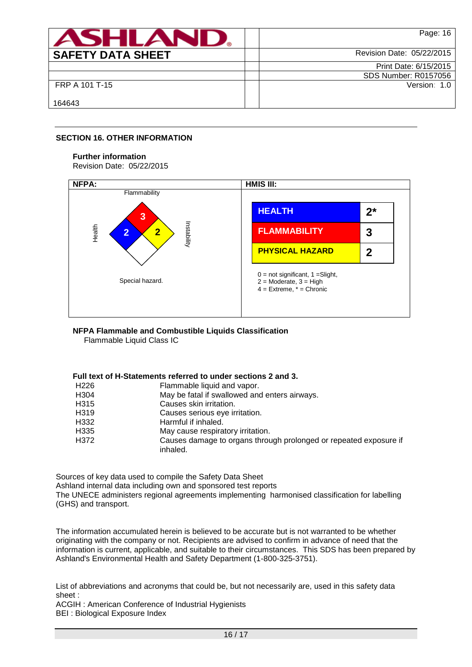| <b>ASHLAN</b>            | Page: 16                    |
|--------------------------|-----------------------------|
| <b>SAFETY DATA SHEET</b> | Revision Date: 05/22/2015   |
|                          | Print Date: 6/15/2015       |
|                          | <b>SDS Number: R0157056</b> |
| FRP A 101 T-15           | Version: 1.0                |
| 164643                   |                             |

### **SECTION 16. OTHER INFORMATION**

#### **Further information**

Revision Date: 05/22/2015



## **NFPA Flammable and Combustible Liquids Classification**

Flammable Liquid Class IC

### **Full text of H-Statements referred to under sections 2 and 3.**

| Flammable liquid and vapor.                                                   |
|-------------------------------------------------------------------------------|
| May be fatal if swallowed and enters airways.                                 |
| Causes skin irritation.                                                       |
| Causes serious eye irritation.                                                |
| Harmful if inhaled.                                                           |
| May cause respiratory irritation.                                             |
| Causes damage to organs through prolonged or repeated exposure if<br>inhaled. |
|                                                                               |

Sources of key data used to compile the Safety Data Sheet Ashland internal data including own and sponsored test reports The UNECE administers regional agreements implementing harmonised classification for labelling (GHS) and transport.

The information accumulated herein is believed to be accurate but is not warranted to be whether originating with the company or not. Recipients are advised to confirm in advance of need that the information is current, applicable, and suitable to their circumstances. This SDS has been prepared by Ashland's Environmental Health and Safety Department (1-800-325-3751).

List of abbreviations and acronyms that could be, but not necessarily are, used in this safety data sheet :

ACGIH : American Conference of Industrial Hygienists BEI : Biological Exposure Index